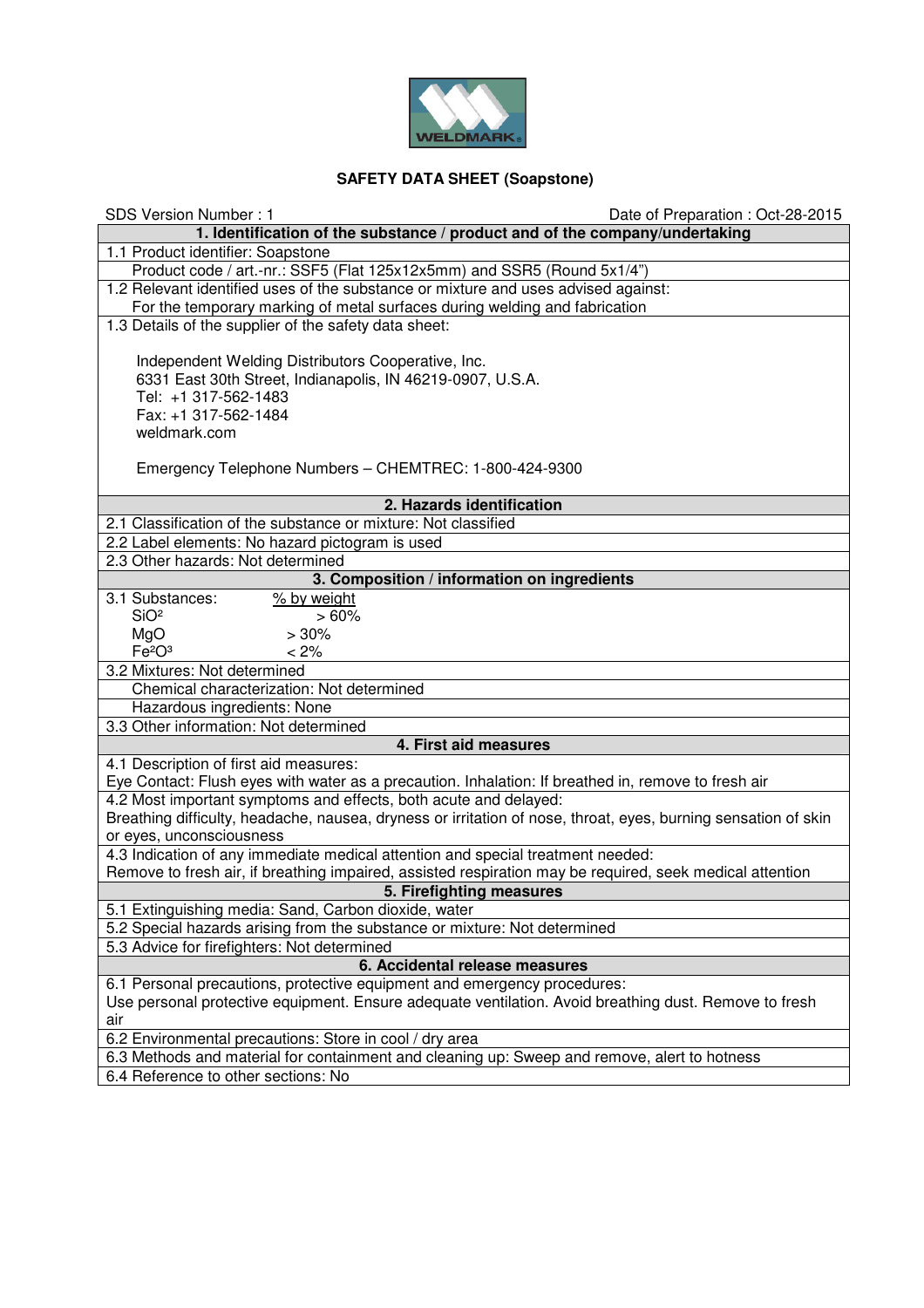

## **SAFETY DATA SHEET (Soapstone)**

| <b>SDS Version Number: 1</b><br>Date of Preparation: Oct-28-2015                                               |
|----------------------------------------------------------------------------------------------------------------|
| 1. Identification of the substance / product and of the company/undertaking                                    |
| 1.1 Product identifier: Soapstone                                                                              |
| Product code / art.-nr.: SSF5 (Flat 125x12x5mm) and SSR5 (Round 5x1/4")                                        |
| 1.2 Relevant identified uses of the substance or mixture and uses advised against:                             |
| For the temporary marking of metal surfaces during welding and fabrication                                     |
| 1.3 Details of the supplier of the safety data sheet:                                                          |
|                                                                                                                |
| Independent Welding Distributors Cooperative, Inc.                                                             |
| 6331 East 30th Street, Indianapolis, IN 46219-0907, U.S.A.                                                     |
| Tel: +1 317-562-1483                                                                                           |
| Fax: +1 317-562-1484<br>weldmark.com                                                                           |
|                                                                                                                |
| Emergency Telephone Numbers - CHEMTREC: 1-800-424-9300                                                         |
|                                                                                                                |
| 2. Hazards identification                                                                                      |
| 2.1 Classification of the substance or mixture: Not classified                                                 |
| 2.2 Label elements: No hazard pictogram is used                                                                |
| 2.3 Other hazards: Not determined                                                                              |
| 3. Composition / information on ingredients                                                                    |
| 3.1 Substances:<br>% by weight                                                                                 |
| SiO <sup>2</sup><br>>60%                                                                                       |
| MgO<br>>30%                                                                                                    |
| Fe <sup>2</sup> O <sup>3</sup><br>$< 2\%$                                                                      |
| 3.2 Mixtures: Not determined                                                                                   |
| Chemical characterization: Not determined                                                                      |
| Hazardous ingredients: None                                                                                    |
| 3.3 Other information: Not determined<br>4. First aid measures                                                 |
| 4.1 Description of first aid measures:                                                                         |
| Eye Contact: Flush eyes with water as a precaution. Inhalation: If breathed in, remove to fresh air            |
| 4.2 Most important symptoms and effects, both acute and delayed:                                               |
| Breathing difficulty, headache, nausea, dryness or irritation of nose, throat, eyes, burning sensation of skin |
| or eyes, unconsciousness                                                                                       |
| 4.3 Indication of any immediate medical attention and special treatment needed:                                |
| Remove to fresh air, if breathing impaired, assisted respiration may be required, seek medical attention       |
| 5. Firefighting measures                                                                                       |
| 5.1 Extinguishing media: Sand, Carbon dioxide, water                                                           |
| 5.2 Special hazards arising from the substance or mixture: Not determined                                      |
| 5.3 Advice for firefighters: Not determined                                                                    |
| 6. Accidental release measures                                                                                 |
| 6.1 Personal precautions, protective equipment and emergency procedures:                                       |
| Use personal protective equipment. Ensure adequate ventilation. Avoid breathing dust. Remove to fresh          |
| air                                                                                                            |
| 6.2 Environmental precautions: Store in cool / dry area                                                        |
| 6.3 Methods and material for containment and cleaning up: Sweep and remove, alert to hotness                   |
| 6.4 Reference to other sections: No                                                                            |